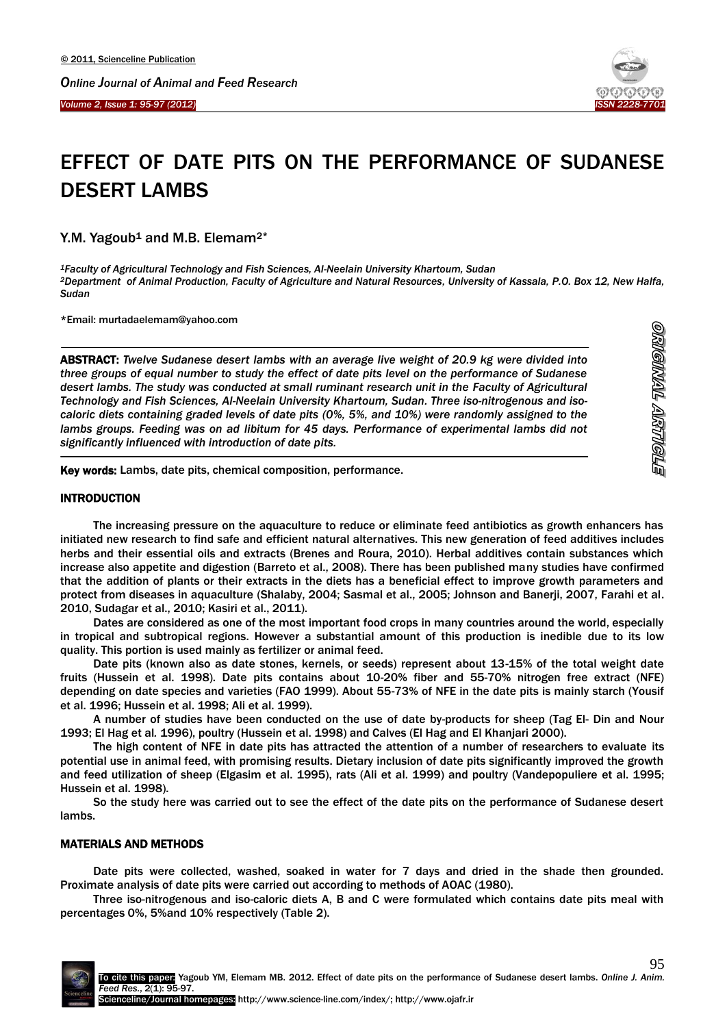*Volume 2, Issue 1: 95-97 (2012)*  Ī



<u>etionary timmoneyo</u>

# EFFECT OF DATE PITS ON THE PERFORMANCE OF SUDANESE DESERT LAMBS

Y.M. Yagoub<sup>1</sup> and M.B. Elemam<sup>2\*</sup>

*<sup>1</sup>Faculty of Agricultural Technology and Fish Sciences, Al-Neelain University Khartoum, Sudan <sup>2</sup>Department of Animal Production, Faculty of Agriculture and Natural Resources, University of Kassala, P.O. Box 12, New Halfa, Sudan*

\*Email: [murtadaelemam@yahoo.com](mailto:murtadaelemam@yahoo.com)

ABSTRACT: *Twelve Sudanese desert lambs with an average live weight of 20.9 kg were divided into three groups of equal number to study the effect of date pits level on the performance of Sudanese desert lambs. The study was conducted at small ruminant research unit in the Faculty of Agricultural Technology and Fish Sciences, Al-Neelain University Khartoum, Sudan. Three iso-nitrogenous and isocaloric diets containing graded levels of date pits (0%, 5%, and 10%) were randomly assigned to the lambs groups. Feeding was on ad libitum for 45 days. Performance of experimental lambs did not significantly influenced with introduction of date pits.*

Key words: Lambs, date pits, chemical composition, performance.

#### **INTRODUCTION**

 $\overline{a}$ 

 $\overline{a}$ 

The increasing pressure on the aquaculture to reduce or eliminate feed antibiotics as growth enhancers has initiated new research to find safe and efficient natural alternatives. This new generation of feed additives includes herbs and their essential oils and extracts (Brenes and Roura, 2010). Herbal additives contain substances which increase also appetite and digestion (Barreto et al., 2008). There has been published many studies have confirmed that the addition of plants or their extracts in the diets has a beneficial effect to improve growth parameters and protect from diseases in aquaculture (Shalaby, 2004; Sasmal et al., 2005; Johnson and Banerji, 2007, Farahi et al. 2010, Sudagar et al., 2010; Kasiri et al., 2011).

Dates are considered as one of the most important food crops in many countries around the world, especially in tropical and subtropical regions. However a substantial amount of this production is inedible due to its low quality. This portion is used mainly as fertilizer or animal feed.

Date pits (known also as date stones, kernels, or seeds) represent about 13-15% of the total weight date fruits (Hussein et al. 1998). Date pits contains about 10-20% fiber and 55-70% nitrogen free extract (NFE) depending on date species and varieties (FAO 1999). About 55-73% of NFE in the date pits is mainly starch (Yousif et al. 1996; Hussein et al. 1998; Ali et al. 1999).

A number of studies have been conducted on the use of date by-products for sheep (Tag El- Din and Nour 1993; El Hag et al*.* 1996), poultry (Hussein et al. 1998) and Calves (El Hag and El Khanjari 2000).

The high content of NFE in date pits has attracted the attention of a number of researchers to evaluate its potential use in animal feed, with promising results. Dietary inclusion of date pits significantly improved the growth and feed utilization of sheep (Elgasim et al. 1995), rats (Ali et al. 1999) and poultry (Vandepopuliere et al. 1995; Hussein et al. 1998).

So the study here was carried out to see the effect of the date pits on the performance of Sudanese desert lambs.

# MATERIALS AND METHODS

Date pits were collected, washed, soaked in water for 7 days and dried in the shade then grounded. Proximate analysis of date pits were carried out according to methods of AOAC (1980).

Three iso-nitrogenous and iso-caloric diets A, B and C were formulated which contains date pits meal with percentages 0%, 5%and 10% respectively (Table 2).

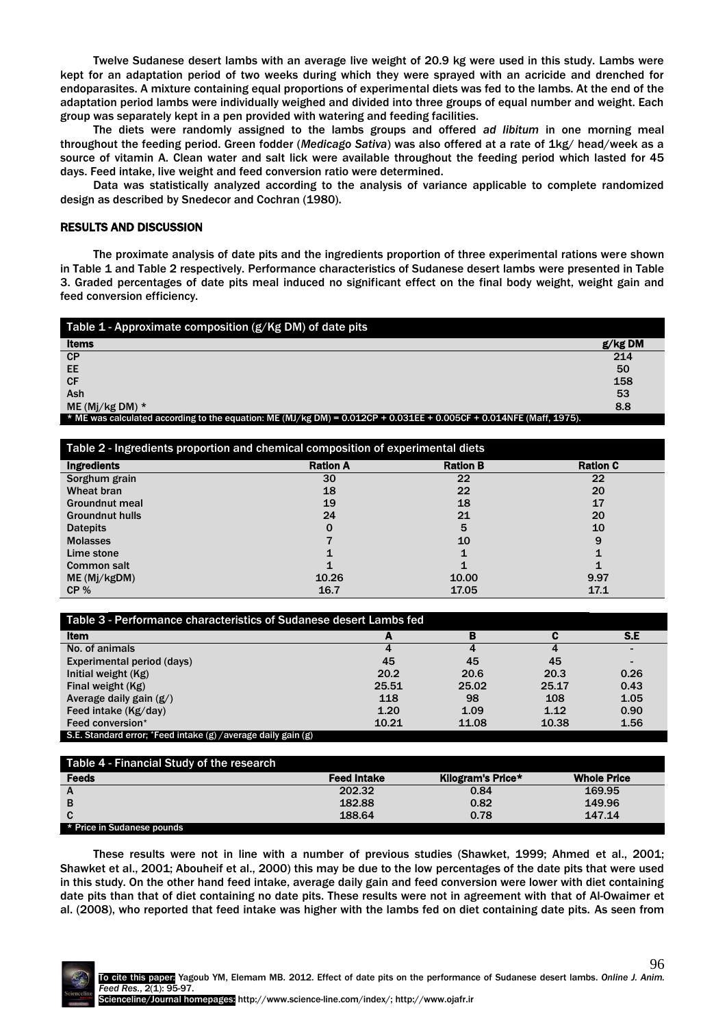Twelve Sudanese desert lambs with an average live weight of 20.9 kg were used in this study. Lambs were kept for an adaptation period of two weeks during which they were sprayed with an acricide and drenched for endoparasites. A mixture containing equal proportions of experimental diets was fed to the lambs. At the end of the adaptation period lambs were individually weighed and divided into three groups of equal number and weight. Each group was separately kept in a pen provided with watering and feeding facilities.

The diets were randomly assigned to the lambs groups and offered *ad libitum* in one morning meal throughout the feeding period. Green fodder (*Medicago Sativa*) was also offered at a rate of 1kg/ head/week as a source of vitamin A. Clean water and salt lick were available throughout the feeding period which lasted for 45 days. Feed intake, live weight and feed conversion ratio were determined.

Data was statistically analyzed according to the analysis of variance applicable to complete randomized design as described by Snedecor and Cochran (1980).

### RESULTS AND DISCUSSION

The proximate analysis of date pits and the ingredients proportion of three experimental rations were shown in Table 1 and Table 2 respectively. Performance characteristics of Sudanese desert lambs were presented in Table 3. Graded percentages of date pits meal induced no significant effect on the final body weight, weight gain and feed conversion efficiency.

| Table 1 - Approximate composition (g/Kg DM) of date pits                                                            |           |
|---------------------------------------------------------------------------------------------------------------------|-----------|
| <b>Items</b>                                                                                                        | $g/kg$ DM |
| CP                                                                                                                  | 214       |
| EE                                                                                                                  | 50        |
| <b>CF</b>                                                                                                           | 158       |
| Ash                                                                                                                 | 53        |
| ME (Mj/kg DM) $*$                                                                                                   | 8.8       |
| * ME was calculated according to the equation: ME (MJ/kg DM) = 0.012CP + 0.031EE + 0.005CF + 0.014NFE (Maff, 1975). |           |

| Table 2 - Ingredients proportion and chemical composition of experimental diets |                 |                 |                 |  |  |
|---------------------------------------------------------------------------------|-----------------|-----------------|-----------------|--|--|
| <b>Ingredients</b>                                                              | <b>Ration A</b> | <b>Ration B</b> | <b>Ration C</b> |  |  |
| Sorghum grain                                                                   | 30              | 22              | 22              |  |  |
| Wheat bran                                                                      | 18              | 22              | 20              |  |  |
| <b>Groundnut meal</b>                                                           | 19              | 18              | 17              |  |  |
| <b>Groundnut hulls</b>                                                          | 24              | 21              | 20              |  |  |
| <b>Datepits</b>                                                                 | O               | 5               | 10              |  |  |
| <b>Molasses</b>                                                                 |                 | 10              | 9               |  |  |
| Lime stone                                                                      |                 |                 |                 |  |  |
| <b>Common salt</b>                                                              |                 |                 |                 |  |  |
| ME (Mi/kgDM)                                                                    | 10.26           | 10.00           | 9.97            |  |  |
| CP%                                                                             | 16.7            | 17.05           | 17.1            |  |  |

| Table 3 - Performance characteristics of Sudanese desert Lambs fed |       |       |       |                          |  |
|--------------------------------------------------------------------|-------|-------|-------|--------------------------|--|
| <b>Item</b>                                                        | A     | в     |       | S.E                      |  |
| No. of animals                                                     |       |       |       |                          |  |
| Experimental period (days)                                         | 45    | 45    | 45    | $\overline{\phantom{0}}$ |  |
| Initial weight (Kg)                                                | 20.2  | 20.6  | 20.3  | 0.26                     |  |
| Final weight (Kg)                                                  | 25.51 | 25.02 | 25.17 | 0.43                     |  |
| Average daily gain $(g)$                                           | 118   | 98    | 108   | 1.05                     |  |
| Feed intake (Kg/day)                                               | 1.20  | 1.09  | 1.12  | 0.90                     |  |
| Feed conversion*                                                   | 10.21 | 11.08 | 10.38 | 1.56                     |  |
| S.E. Standard error; *Feed intake (g) / average daily gain (g)     |       |       |       |                          |  |

| Table 4 - Financial Study of the research |                    |                   |                    |
|-------------------------------------------|--------------------|-------------------|--------------------|
| <b>Feeds</b>                              | <b>Feed Intake</b> | Kilogram's Price* | <b>Whole Price</b> |
| A                                         | 202.32             | 0.84              | 169.95             |
| в                                         | 182.88             | 0.82              | 149.96             |
|                                           | 188.64             | 0.78              | 147.14             |
| * Price in Sudanese pounds                |                    |                   |                    |

These results were not in line with a number of previous studies (Shawket, 1999; Ahmed et al., 2001; Shawket et al., 2001; Abouheif et al., 2000) this may be due to the low percentages of the date pits that were used in this study. On the other hand feed intake, average daily gain and feed conversion were lower with diet containing date pits than that of diet containing no date pits. These results were not in agreement with that of Al-Owaimer et al. (2008), who reported that feed intake was higher with the lambs fed on diet containing date pits. As seen from